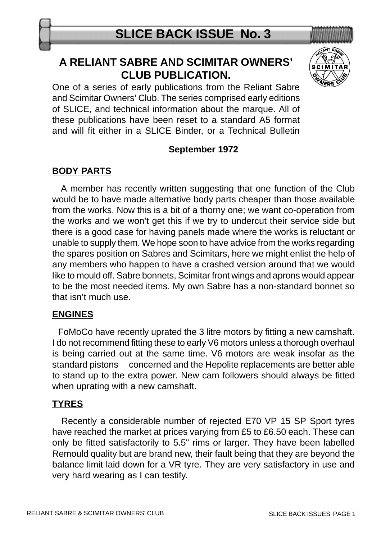## **A RELIANT SABRE AND SCIMITAR OWNERS' CLUB PUBLICATION.**



One of a series of early publications from the Reliant Sabre and Scimitar Owners' Club. The series comprised early editions of SLICE, and technical information about the marque. All of these publications have been reset to a standard A5 format and will fit either in a SLICE Binder, or a Technical Bulletin

#### **September 1972**

### **BODY PARTS**

 A member has recently written suggesting that one function of the Club would be to have made alternative body parts cheaper than those available from the works. Now this is a bit of a thorny one; we want co-operation from the works and we won't get this if we try to undercut their service side but there is a good case for having panels made where the works is reluctant or unable to supply them. We hope soon to have advice from the works regarding the spares position on Sabres and Scimitars, here we might enlist the help of any members who happen to have a crashed version around that we would like to mould off. Sabre bonnets, Scimitar front wings and aprons would appear to be the most needed items. My own Sabre has a non-standard bonnet so that isn't much use.

#### **ENGINES**

 FoMoCo have recently uprated the 3 litre motors by fitting a new camshaft. I do not recommend fitting these to early V6 motors unless a thorough overhaul is being carried out at the same time. V6 motors are weak insofar as the standard pistons concerned and the Hepolite replacements are better able to stand up to the extra power. New cam followers should always be fitted when uprating with a new camshaft.

#### **TYRES**

 Recently a considerable number of rejected E70 VP 15 SP Sport tyres have reached the market at prices varying from £5 to £6.50 each. These can only be fitted satisfactorily to 5.5" rims or larger. They have been labelled Remould quality but are brand new, their fault being that they are beyond the balance limit laid down for a VR tyre. They are very satisfactory in use and very hard wearing as I can testify.